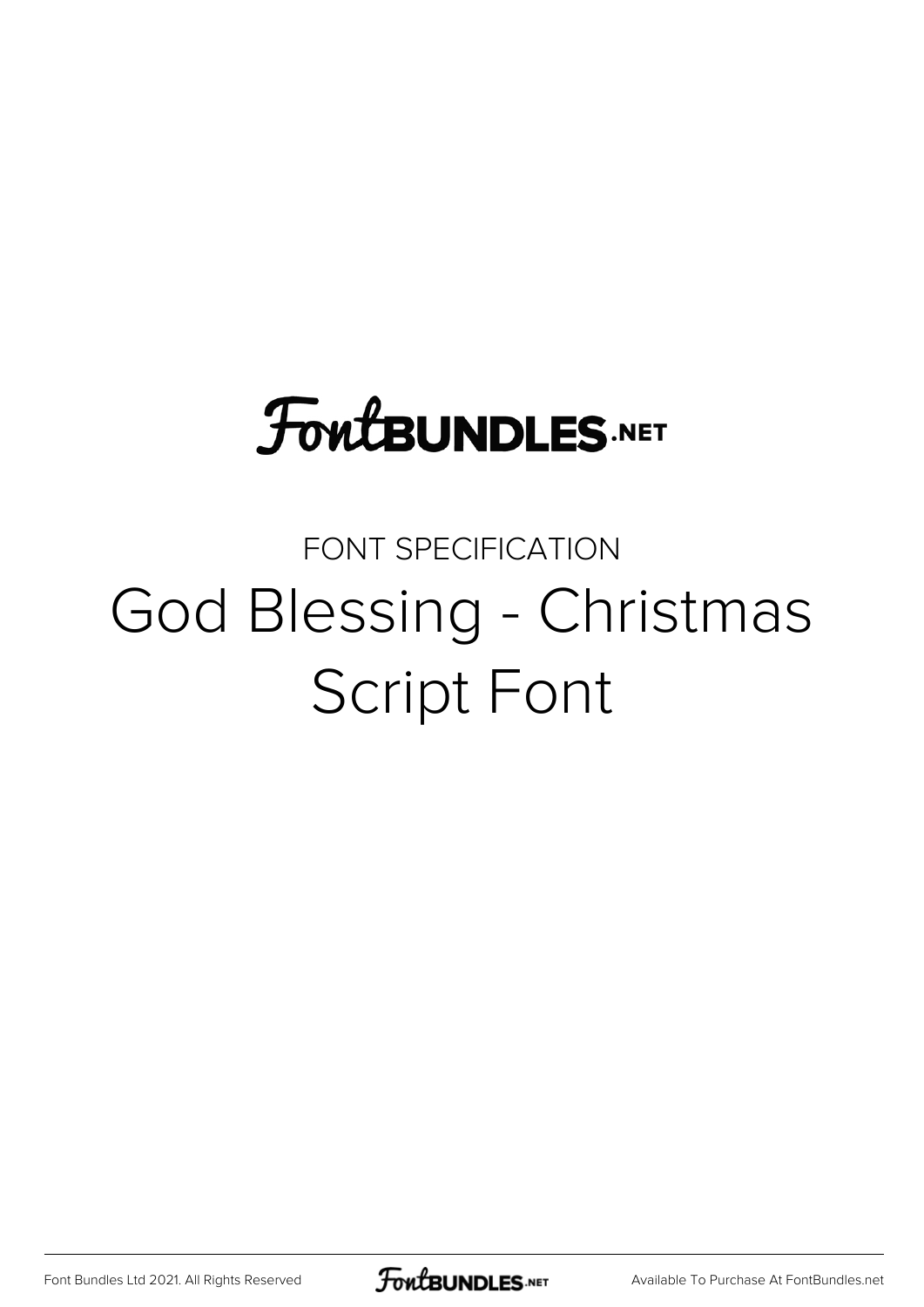## **FoutBUNDLES.NET**

## FONT SPECIFICATION God Blessing - Christmas Script Font

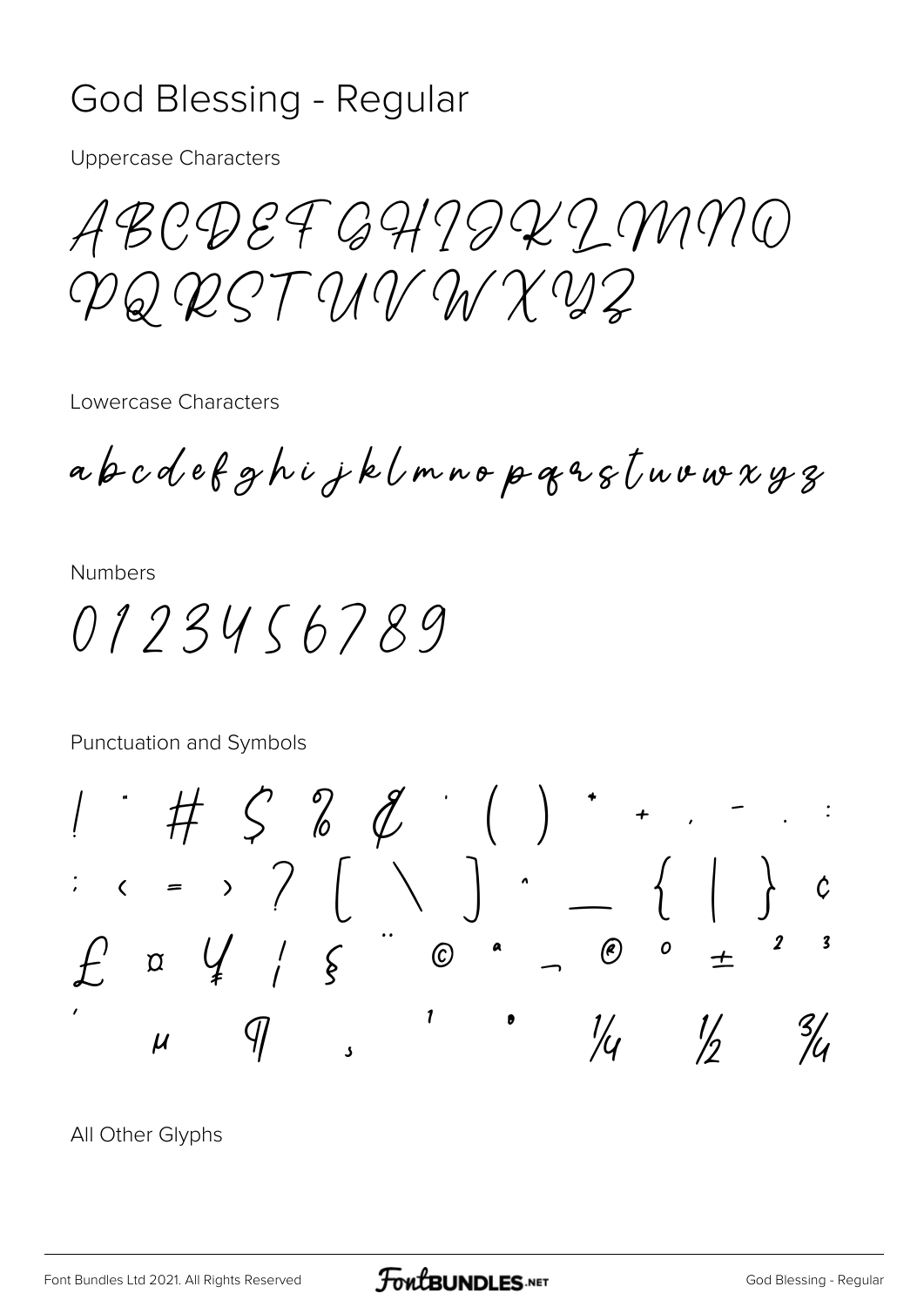## **God Blessing - Regular**

**Uppercase Characters** 

ABCDEFGHITKIMMO PQ RST UV W X VZ

Lowercase Characters

abcdefghijklmnopqastuvwxyz

**Numbers** 

0123456789

Punctuation and Symbols

 $\bigcup$   $\bigcup$  $\begin{pmatrix} 1 & 1 \\ 1 & 1 \end{pmatrix}$  $\begin{array}{cccc} \begin{array}{cccc} \cdot & \cdot & \cdot & \cdot & \end{array} & \begin{array}{cccc} \cdot & \cdot & \cdot & \cdot & \end{array} \end{array}$  $\overline{a}$  (e)  $\overline{b}$  +  $\begin{array}{c} \n\text{or} \quad \text{if} \quad \text{if} \quad \text{if} \quad \text{if} \quad \text{if} \quad \text{if} \quad \text{if} \quad \text{if} \quad \text{if} \quad \text{if} \quad \text{if} \quad \text{if} \quad \text{if} \quad \text{if} \quad \text{if} \quad \text{if} \quad \text{if} \quad \text{if} \quad \text{if} \quad \text{if} \quad \text{if} \quad \text{if} \quad \text{if} \quad \text{if} \quad \text{if} \quad \text{if} \quad \text{if} \quad \text{if} \quad \text{if} \quad \$  $\overline{\mathbf{3}}$  $\odot$  $\mathbf{1}$  $\frac{1}{2}$  $\frac{3}{4}$ 

All Other Glyphs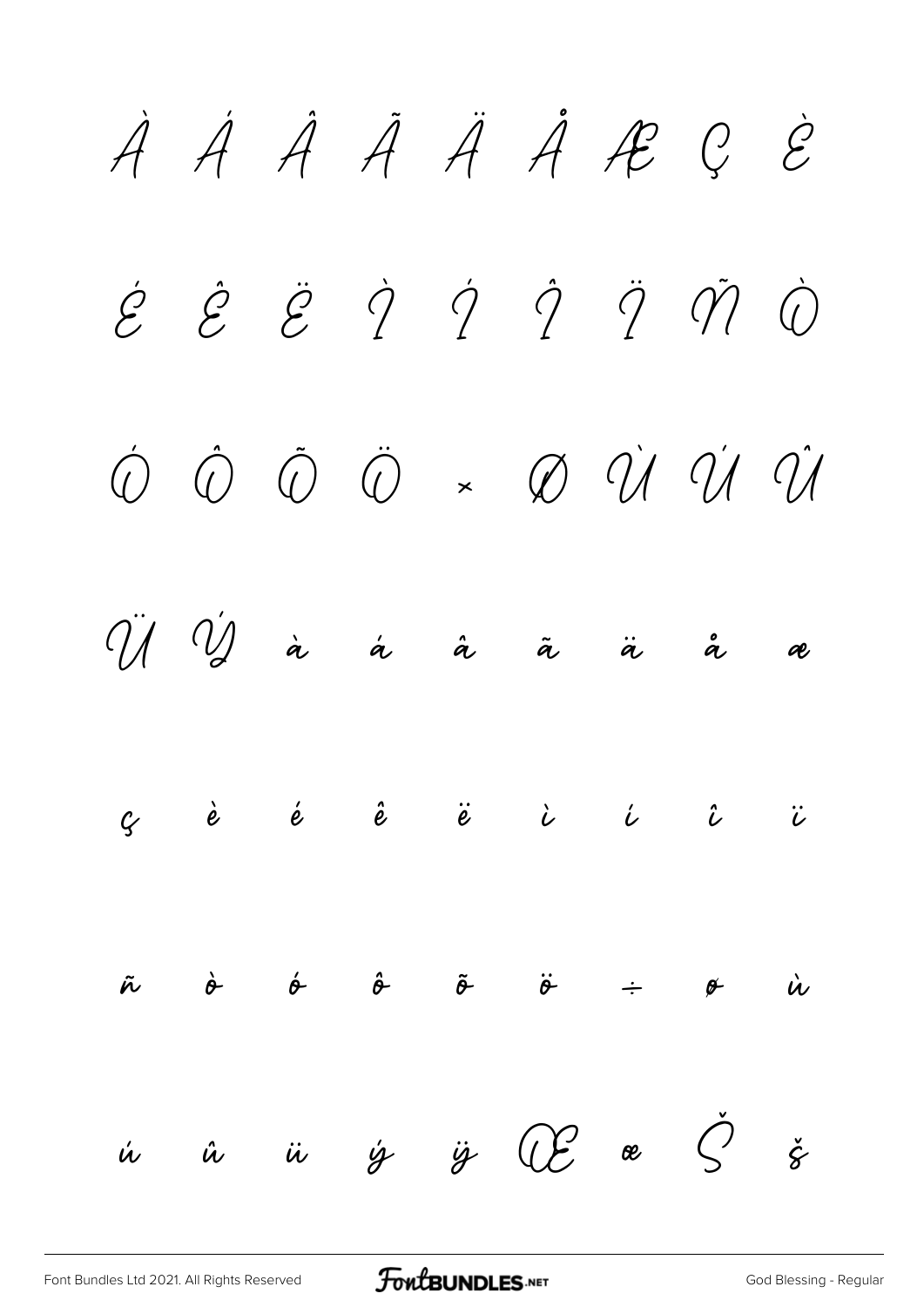